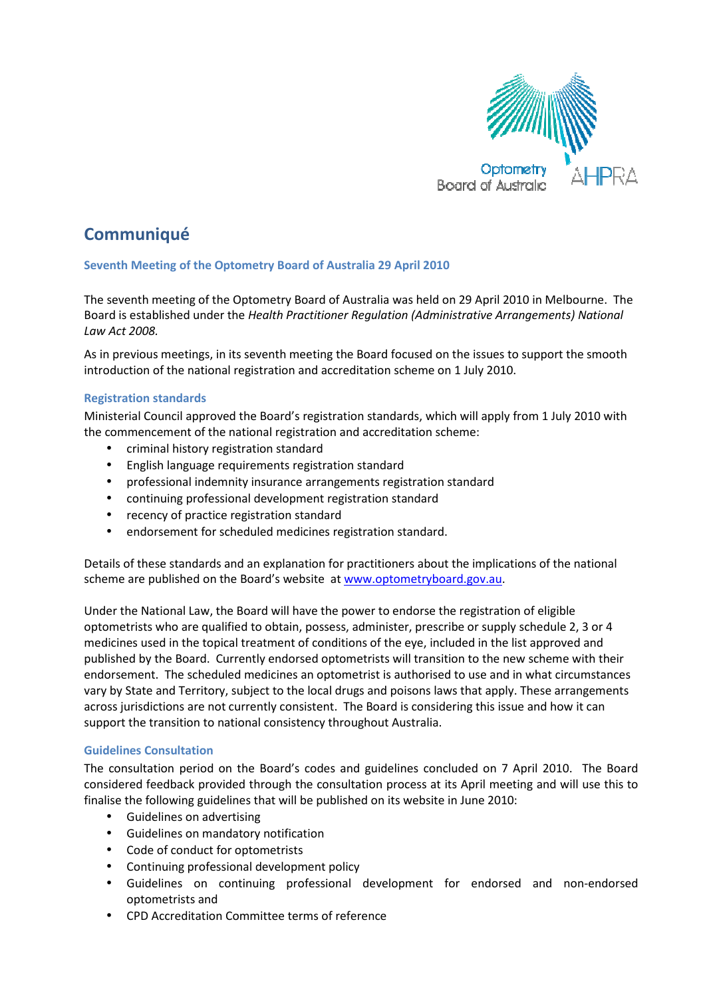

# **Communiqué**

# Seventh Meeting of the Optometry Board of Australia 29 April 2010

The seventh meeting of the Optometry Board of Australia was held on 29 April 2010 in Melbourne. The Board is established under the Health Practitioner Regulation (Administrative Arrangements) National Law Act 2008.

As in previous meetings, in its seventh meeting the Board focused on the issues to support the smooth introduction of the national registration and accreditation scheme on 1 July 2010.

## Registration standards

Ministerial Council approved the Board's registration standards, which will apply from 1 July 2010 with the commencement of the national registration and accreditation scheme:

- criminal history registration standard
- English language requirements registration standard
- professional indemnity insurance arrangements registration standard
- continuing professional development registration standard
- recency of practice registration standard
- endorsement for scheduled medicines registration standard.

Details of these standards and an explanation for practitioners about the implications of the national scheme are published on the Board's website at www.optometryboard.gov.au.

Under the National Law, the Board will have the power to endorse the registration of eligible optometrists who are qualified to obtain, possess, administer, prescribe or supply schedule 2, 3 or 4 medicines used in the topical treatment of conditions of the eye, included in the list approved and published by the Board. Currently endorsed optometrists will transition to the new scheme with their endorsement. The scheduled medicines an optometrist is authorised to use and in what circumstances vary by State and Territory, subject to the local drugs and poisons laws that apply. These arrangements across jurisdictions are not currently consistent. The Board is considering this issue and how it can support the transition to national consistency throughout Australia.

#### Guidelines Consultation

The consultation period on the Board's codes and guidelines concluded on 7 April 2010. The Board considered feedback provided through the consultation process at its April meeting and will use this to finalise the following guidelines that will be published on its website in June 2010:

- Guidelines on advertising
- Guidelines on mandatory notification
- Code of conduct for optometrists
- Continuing professional development policy
- Guidelines on continuing professional development for endorsed and non-endorsed optometrists and
- CPD Accreditation Committee terms of reference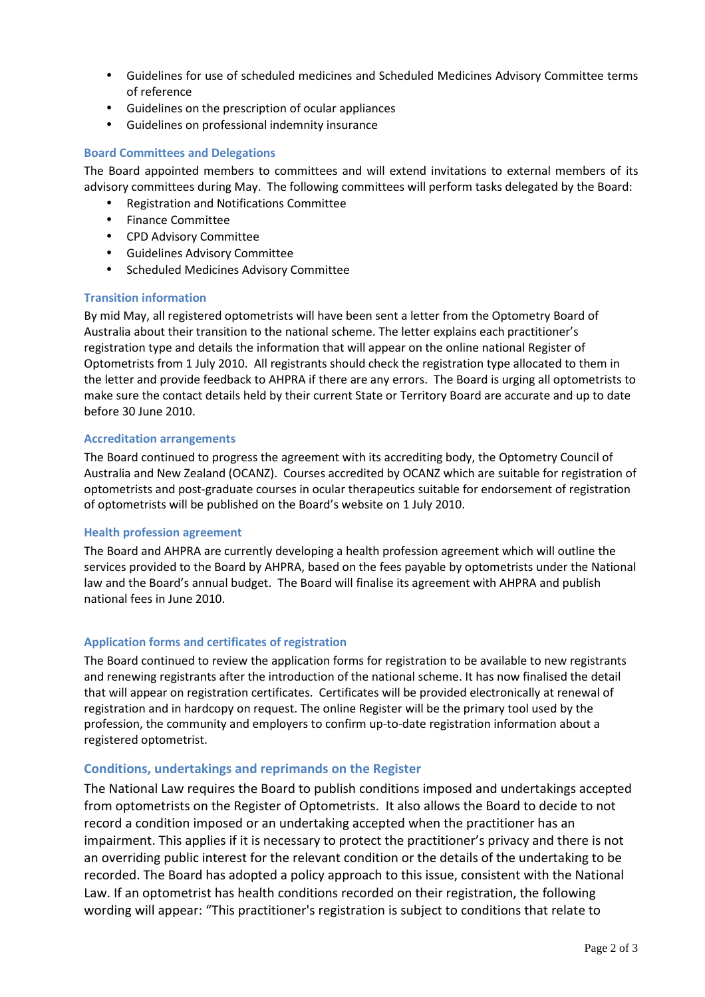- Guidelines for use of scheduled medicines and Scheduled Medicines Advisory Committee terms of reference
- Guidelines on the prescription of ocular appliances
- Guidelines on professional indemnity insurance

### Board Committees and Delegations

The Board appointed members to committees and will extend invitations to external members of its advisory committees during May. The following committees will perform tasks delegated by the Board:

- Registration and Notifications Committee
- Finance Committee
- CPD Advisory Committee
- Guidelines Advisory Committee
- Scheduled Medicines Advisory Committee

#### Transition information

By mid May, all registered optometrists will have been sent a letter from the Optometry Board of Australia about their transition to the national scheme. The letter explains each practitioner's registration type and details the information that will appear on the online national Register of Optometrists from 1 July 2010. All registrants should check the registration type allocated to them in the letter and provide feedback to AHPRA if there are any errors. The Board is urging all optometrists to make sure the contact details held by their current State or Territory Board are accurate and up to date before 30 June 2010.

#### Accreditation arrangements

The Board continued to progress the agreement with its accrediting body, the Optometry Council of Australia and New Zealand (OCANZ). Courses accredited by OCANZ which are suitable for registration of optometrists and post-graduate courses in ocular therapeutics suitable for endorsement of registration of optometrists will be published on the Board's website on 1 July 2010.

#### Health profession agreement

The Board and AHPRA are currently developing a health profession agreement which will outline the services provided to the Board by AHPRA, based on the fees payable by optometrists under the National law and the Board's annual budget. The Board will finalise its agreement with AHPRA and publish national fees in June 2010.

#### Application forms and certificates of registration

The Board continued to review the application forms for registration to be available to new registrants and renewing registrants after the introduction of the national scheme. It has now finalised the detail that will appear on registration certificates. Certificates will be provided electronically at renewal of registration and in hardcopy on request. The online Register will be the primary tool used by the profession, the community and employers to confirm up-to-date registration information about a registered optometrist.

#### Conditions, undertakings and reprimands on the Register

The National Law requires the Board to publish conditions imposed and undertakings accepted from optometrists on the Register of Optometrists. It also allows the Board to decide to not record a condition imposed or an undertaking accepted when the practitioner has an impairment. This applies if it is necessary to protect the practitioner's privacy and there is not an overriding public interest for the relevant condition or the details of the undertaking to be recorded. The Board has adopted a policy approach to this issue, consistent with the National Law. If an optometrist has health conditions recorded on their registration, the following wording will appear: "This practitioner's registration is subject to conditions that relate to